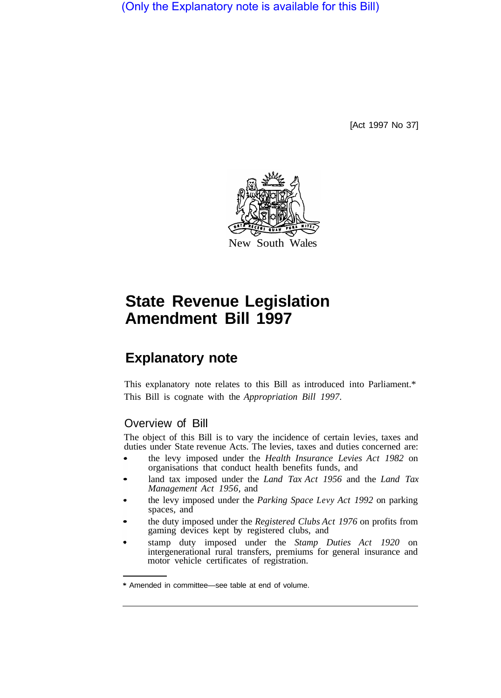(Only the Explanatory note is available for this Bill)

[Act 1997 No 37]



# **State Revenue Legislation Amendment Bill 1997**

## **Explanatory note**

This explanatory note relates to this Bill as introduced into Parliament.\* This Bill is cognate with the *Appropriation Bill 1997.* 

## Overview of Bill

The object of this Bill is to vary the incidence of certain levies, taxes and duties under State revenue Acts. The levies, taxes and duties concerned are:

- the levy imposed under the *Health Insurance Levies Act 1982* on organisations that conduct health benefits funds, and
- land tax imposed under the *Land Tax Act 1956* and the *Land Tax Management Act 1956,* and
- the levy imposed under the *Parking Space Levy Act 1992* on parking spaces, and
- the duty imposed under the *Registered Clubs Act 1976* on profits from gaming devices kept by registered clubs, and
- stamp duty imposed under the *Stamp Duties Act 1920* on intergenerational rural transfers, premiums for general insurance and motor vehicle certificates of registration.

<sup>\*</sup> Amended in committee—see table at end of volume.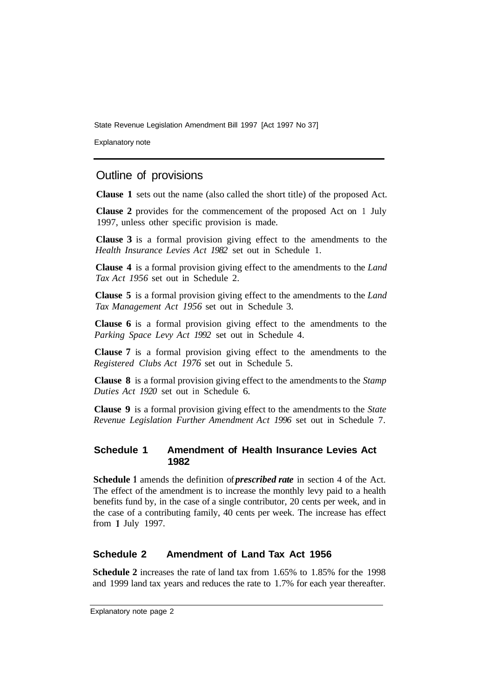State Revenue Legislation Amendment Bill 1997 [Act 1997 No 37]

Explanatory note

## Outline of provisions

**Clause 1** sets out the name (also called the short title) of the proposed Act.

**Clause 2** provides for the commencement of the proposed Act on 1 July 1997, unless other specific provision is made.

**Clause 3** is a formal provision giving effect to the amendments to the *Health Insurance Levies Act 1982* set out in Schedule 1.

**Clause 4** is a formal provision giving effect to the amendments to the *Land Tax Act 1956* set out in Schedule 2.

**Clause 5** is a formal provision giving effect to the amendments to the *Land Tax Management Act 1956* set out in Schedule 3.

**Clause 6** is a formal provision giving effect to the amendments to the *Parking Space Levy Act 1992* set out in Schedule 4.

**Clause 7** is a formal provision giving effect to the amendments to the *Registered Clubs Act 1976* set out in Schedule 5.

**Clause 8** is a formal provision giving effect to the amendments to the *Stamp Duties Act 1920* set out in Schedule 6.

**Clause 9** is a formal provision giving effect to the amendments to the *State Revenue Legislation Further Amendment Act 1996* set out in Schedule 7.

## **Schedule 1 Amendment of Health Insurance Levies Act 1982**

**Schedule l** amends the definition of *prescribed rate* in section 4 of the Act. The effect of the amendment is to increase the monthly levy paid to a health benefits fund by, in the case of a single contributor, 20 cents per week, and in the case of a contributing family, 40 cents per week. The increase has effect from l July 1997.

## **Schedule 2 Amendment of Land Tax Act 1956**

**Schedule 2** increases the rate of land tax from 1.65% to 1.85% for the 1998 and 1999 land tax years and reduces the rate to 1.7% for each year thereafter.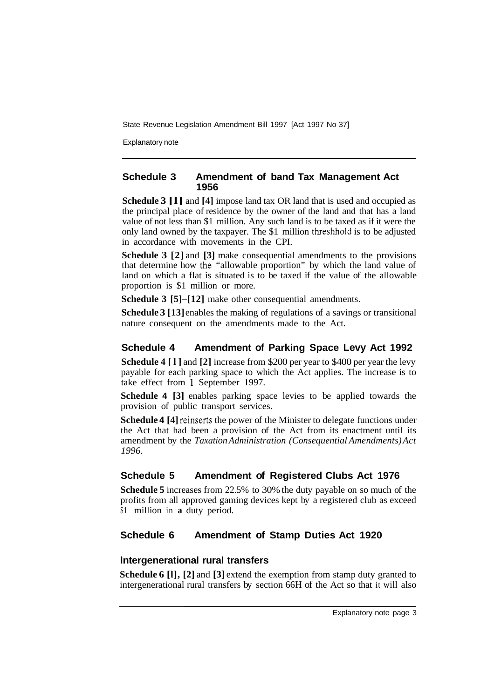State Revenue Legislation Amendment Bill 1997 [Act 1997 No 37]

Explanatory note

## **Schedule 3 Amendment of band Tax Management Act 1956**

**Schedule 3 [l]** and **[4]** impose land tax OR land that is used and occupied as the principal place of residence by the owner of the land and that has a land value of not less than \$1 million. Any such land is to be taxed as if it were the only land owned by the taxpayer. The \$1 million threshhold is to be adjusted in accordance with movements in the CPI.

**Schedule 3 [2]** and **[3]** make consequential amendments to the provisions that determine how the "allowable proportion" by which the land value of land on which a flat is situated is to be taxed if the value of the allowable proportion is \$1 million or more.

**Schedule 3 [5]–[12]** make other consequential amendments.

**Schedule 3 [13]** enables the making of regulations of a savings or transitional nature consequent on the amendments made to the Act.

## **Schedule 4 Amendment of Parking Space Levy Act 1992**

**Schedule 4 [l]** and **[2]** increase from \$200 per year to \$400 per year the levy payable for each parking space to which the Act applies. The increase is to take effect from l September 1997.

**Schedule 4 [3]** enables parking space levies to be applied towards the provision of public transport services.

**Schedule 4 [4]** reinserts the power of the Minister to delegate functions under the Act that had been a provision of the Act from its enactment until its amendment by the *Taxation Administration (Consequential Amendments) Act 1996.* 

## **Schedule 5 Amendment of Registered Clubs Act 1976**

**Schedule 5** increases from 22.5% to 30% the duty payable on so much of the profits from all approved gaming devices kept by a registered club as exceed \$1 million in **a** duty period.

## **Schedule 6 Amendment of Stamp Duties Act 1920**

## **lntergenerational rural transfers**

**Schedule 6 [l], [2]** and **[3]** extend the exemption from stamp duty granted to intergenerational rural transfers by section 66H of the Act so that it will also